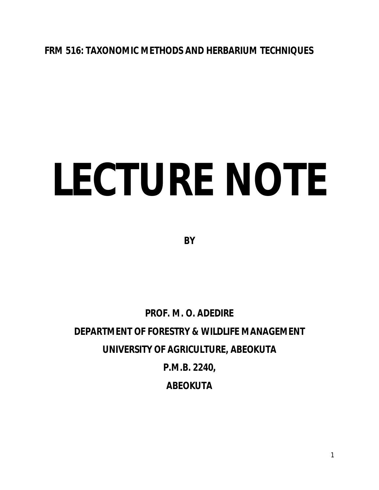**FRM 516: TAXONOMIC METHODS AND HERBARIUM TECHNIQUES**

# **LECTURE NOTE**

**BY**

**PROF. M. O. ADEDIRE DEPARTMENT OF FORESTRY & WILDLIFE MANAGEMENT UNIVERSITY OF AGRICULTURE, ABEOKUTA P.M.B. 2240, ABEOKUTA**

1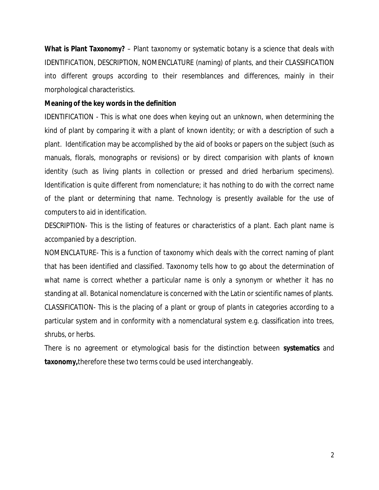**What is Plant Taxonomy?** – Plant taxonomy or systematic botany is a science that deals with IDENTIFICATION, DESCRIPTION, NOMENCLATURE (naming) of plants, and their CLASSIFICATION into different groups according to their resemblances and differences, mainly in their morphological characteristics.

#### **Meaning of the key words in the definition**

IDENTIFICATION - This is what one does when keying out an unknown, when determining the kind of plant by comparing it with a plant of known identity; or with a description of such a plant. Identification may be accomplished by the aid of books or papers on the subject (such as manuals, florals, monographs or revisions) or by direct comparision with plants of known identity (such as living plants in collection or pressed and dried herbarium specimens). Identification is quite different from nomenclature; it has nothing to do with the correct name of the plant or determining that name. Technology is presently available for the use of computers to aid in identification.

DESCRIPTION- This is the listing of features or characteristics of a plant. Each plant name is accompanied by a description.

NOMENCLATURE- This is a function of taxonomy which deals with the correct naming of plant that has been identified and classified. Taxonomy tells how to go about the determination of what name is correct whether a particular name is only a synonym or whether it has no standing at all. Botanical nomenclature is concerned with the Latin or scientific names of plants. CLASSIFICATION- This is the placing of a plant or group of plants in categories according to a particular system and in conformity with a nomenclatural system e.g. classification into trees, shrubs, or herbs.

There is no agreement or etymological basis for the distinction between **systematics** and **taxonomy,**therefore these two terms could be used interchangeably.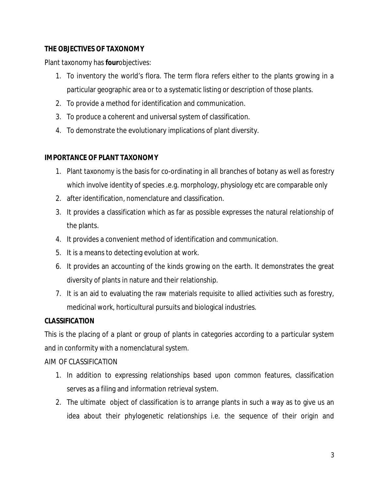# **THE OBJECTIVES OF TAXONOMY**

Plant taxonomy has **four**objectives:

- 1. To inventory the world's flora. The term flora refers either to the plants growing in a particular geographic area or to a systematic listing or description of those plants.
- 2. To provide a method for identification and communication.
- 3. To produce a coherent and universal system of classification.
- 4. To demonstrate the evolutionary implications of plant diversity.

# **IMPORTANCE OF PLANT TAXONOMY**

- 1. Plant taxonomy is the basis for co-ordinating in all branches of botany as well as forestry which involve identity of species .e.g. morphology, physiology etc are comparable only
- 2. after identification, nomenclature and classification.
- 3. It provides a classification which as far as possible expresses the natural relationship of the plants.
- 4. It provides a convenient method of identification and communication.
- 5. It is a means to detecting evolution at work.
- 6. It provides an accounting of the kinds growing on the earth. It demonstrates the great diversity of plants in nature and their relationship.
- 7. It is an aid to evaluating the raw materials requisite to allied activities such as forestry, medicinal work, horticultural pursuits and biological industries.

# **CLASSIFICATION**

This is the placing of a plant or group of plants in categories according to a particular system and in conformity with a nomenclatural system.

# AIM OF CLASSIFICATION

- 1. In addition to expressing relationships based upon common features, classification serves as a filing and information retrieval system.
- 2. The ultimate object of classification is to arrange plants in such a way as to give us an idea about their phylogenetic relationships i.e. the sequence of their origin and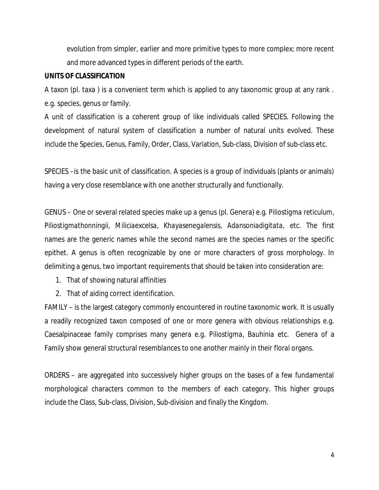evolution from simpler, earlier and more primitive types to more complex; more recent and more advanced types in different periods of the earth.

#### **UNITS OF CLASSIFICATION**

A taxon (pl. taxa ) is a convenient term which is applied to any taxonomic group at any rank . e.g. species, genus or family.

A unit of classification is a coherent group of like individuals called SPECIES. Following the development of natural system of classification a number of natural units evolved. These include the Species, Genus, Family, Order, Class, Variation, Sub-class, Division of sub-class etc.

SPECIES –is the basic unit of classification. A species is a group of individuals (plants or animals) having a very close resemblance with one another structurally and functionally.

GENUS – One or several related species make up a genus (pl. Genera) e.g. *Piliostigma reticulum, Piliostigmathonningii, Miliciaexcelsa, Khayasenegalensis, Adansoniadigitata,* etc. The first names are the generic names while the second names are the species names or the specific epithet. A genus is often recognizable by one or more characters of gross morphology. In delimiting a genus, two important requirements that should be taken into consideration are:

- 1. That of showing natural affinities
- 2. That of aiding correct identification.

FAMILY – is the largest category commonly encountered in routine taxonomic work. It is usually a readily recognized taxon composed of one or more genera with obvious relationships e.g. Caesalpinaceae family comprises many genera e.g. *Piliostigma, Bauhinia* etc. Genera of a Family show general structural resemblances to one another mainly in their floral organs.

ORDERS – are aggregated into successively higher groups on the bases of a few fundamental morphological characters common to the members of each category. This higher groups include the Class, Sub-class, Division, Sub-division and finally the Kingdom.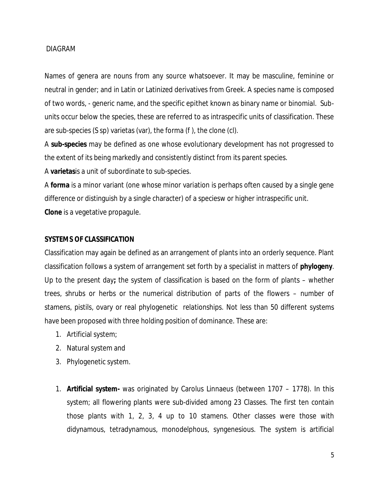#### DIAGRAM

Names of genera are nouns from any source whatsoever. It may be masculine, feminine or neutral in gender; and in Latin or Latinized derivatives from Greek. A species name is composed of two words, - generic name, and the specific epithet known as binary name or binomial. Subunits occur below the species, these are referred to as intraspecific units of classification. These are sub-species (S sp) varietas (var), the forma (*f* ), the clone (cl).

A **sub-species** may be defined as one whose evolutionary development has not progressed to the extent of its being markedly and consistently distinct from its parent species.

A **varietas**is a unit of subordinate to sub-species.

A **forma** is a minor variant (one whose minor variation is perhaps often caused by a single gene difference or distinguish by a single character) of a speciesw or higher intraspecific unit. **Clone** is a vegetative propagule.

#### **SYSTEMS OF CLASSIFICATION**

Classification may again be defined as an arrangement of plants into an orderly sequence. Plant classification follows a system of arrangement set forth by a specialist in matters of **phylogeny**. Up to the present day**;** the system of classification is based on the form of plants – whether trees, shrubs or herbs or the numerical distribution of parts of the flowers – number of stamens, pistils, ovary or real phylogenetic relationships. Not less than 50 different systems have been proposed with three holding position of dominance. These are:

- 1. Artificial system;
- 2. Natural system and
- 3. Phylogenetic system.
- 1. **Artificial system-** was originated by Carolus Linnaeus (between 1707 1778). In this system; all flowering plants were sub-divided among 23 Classes. The first ten contain those plants with 1, 2, 3, 4 up to 10 stamens. Other classes were those with didynamous, tetradynamous, monodelphous, syngenesious. The system is artificial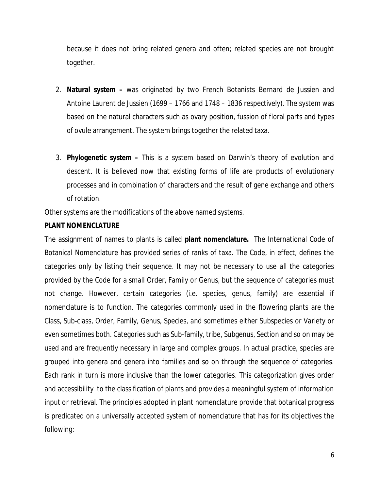because it does not bring related genera and often; related species are not brought together.

- 2. **Natural system –** was originated by two French Botanists Bernard de Jussien and Antoine Laurent de Jussien (1699 – 1766 and 1748 – 1836 respectively). The system was based on the natural characters such as ovary position, fussion of floral parts and types of ovule arrangement. The system brings together the related taxa.
- 3. **Phylogenetic system –** This is a system based on Darwin's theory of evolution and descent. It is believed now that existing forms of life are products of evolutionary processes and in combination of characters and the result of gene exchange and others of rotation.

Other systems are the modifications of the above named systems.

# **PLANT NOMENCLATURE**

The assignment of names to plants is called **plant nomenclature.** The International Code of Botanical Nomenclature has provided series of ranks of taxa. The Code, in effect, defines the categories only by listing their sequence. It may not be necessary to use all the categories provided by the Code for a small Order, Family or Genus, but the sequence of categories must not change. However, certain categories (i.e. species, genus, family) are essential if nomenclature is to function. The categories commonly used in the flowering plants are the Class, Sub-class, Order, Family, Genus, Species, and sometimes either Subspecies or Variety or even sometimes both. Categories such as Sub-family, tribe, Subgenus, Section and so on may be used and are frequently necessary in large and complex groups. In actual practice, species are grouped into genera and genera into families and so on through the sequence of categories. Each rank in turn is more inclusive than the lower categories. This categorization gives order and accessibility to the classification of plants and provides a meaningful system of information input or retrieval. The principles adopted in plant nomenclature provide that botanical progress is predicated on a universally accepted system of nomenclature that has for its objectives the following: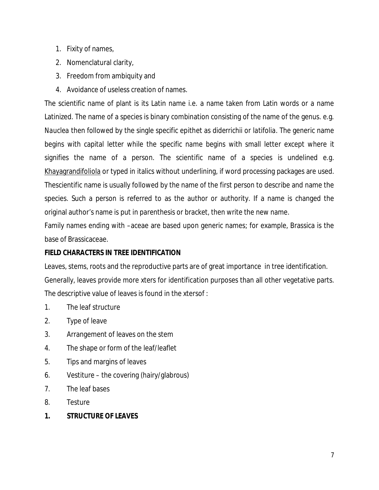- 1. Fixity of names,
- 2. Nomenclatural clarity,
- 3. Freedom from ambiquity and
- 4. Avoidance of useless creation of names.

The scientific name of plant is its Latin name i.e. a name taken from Latin words or a name Latinized. The name of a species is binary combination consisting of the name of the genus. e.g. *Nauclea* then followed by the single specific epithet as *diderrichii* or *latifolia*. The generic name begins with capital letter while the specific name begins with small letter except where it signifies the name of a person. The scientific name of a species is undelined e.g. Khayagrandifoliola or typed in italics without underlining, if word processing packages are used. Thescientific name is usually followed by the name of the first person to describe and name the species. Such a person is referred to as the author or authority. If a name is changed the original author's name is put in parenthesis or bracket, then write the new name.

Family names ending with –aceae are based upon generic names; for example, Brassica is the base of Brassicaceae.

# **FIELD CHARACTERS IN TREE IDENTIFICATION**

Leaves, stems, roots and the reproductive parts are of great importance in tree identification. Generally, leaves provide more xters for identification purposes than all other vegetative parts. The descriptive value of leaves is found in the xtersof :

- 1. The leaf structure
- 2. Type of leave
- 3. Arrangement of leaves on the stem
- 4. The shape or form of the leaf/leaflet
- 5. Tips and margins of leaves
- 6. Vestiture the covering (hairy/glabrous)
- 7. The leaf bases
- 8. Testure
- **1. STRUCTURE OF LEAVES**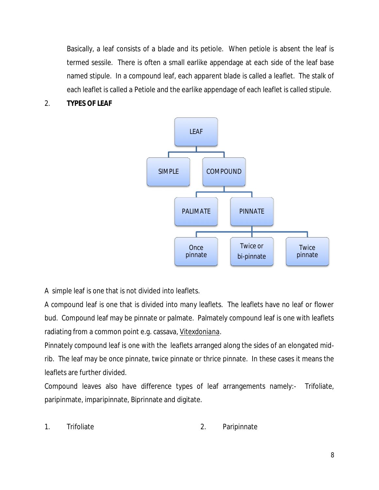Basically, a leaf consists of a blade and its petiole. When petiole is absent the leaf is termed sessile. There is often a small earlike appendage at each side of the leaf base named stipule. In a compound leaf, each apparent blade is called a leaflet. The stalk of each leaflet is called a Petiole and the earlike appendage of each leaflet is called stipule.

# 2. **TYPES OF LEAF**



A simple leaf is one that is not divided into leaflets.

A compound leaf is one that is divided into many leaflets. The leaflets have no leaf or flower bud. Compound leaf may be pinnate or palmate. Palmately compound leaf is one with leaflets radiating from a common point e.g. cassava, *Vitexdoniana*.

Pinnately compound leaf is one with the leaflets arranged along the sides of an elongated midrib. The leaf may be once pinnate, twice pinnate or thrice pinnate. In these cases it means the leaflets are further divided.

Compound leaves also have difference types of leaf arrangements namely:- Trifoliate, paripinmate, imparipinnate, Biprinnate and digitate.

1. Trifoliate 2. Paripinnate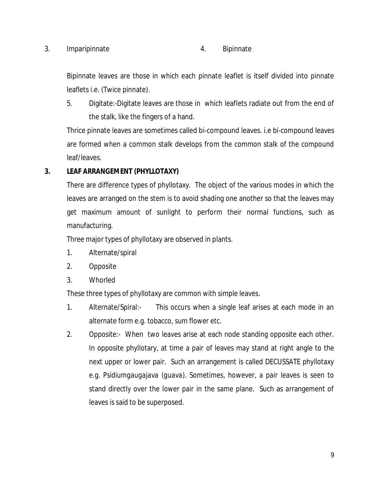#### 3. Imparipinnate 4. Bipinnate

Bipinnate leaves are those in which each pinnate leaflet is itself divided into pinnate leaflets i.e. (Twice pinnate).

5. Digitate:-Digitate leaves are those in which leaflets radiate out from the end of the stalk, like the fingers of a hand.

Thrice pinnate leaves are sometimes called bi-compound leaves. i.e bi-compound leaves are formed when a common stalk develops from the common stalk of the compound leaf/leaves.

# **3. LEAF ARRANGEMENT (PHYLLOTAXY)**

There are difference types of phyllotaxy. The object of the various modes in which the leaves are arranged on the stem is to avoid shading one another so that the leaves may get maximum amount of sunlight to perform their normal functions, such as manufacturing.

Three major types of phyllotaxy are observed in plants.

- 1. Alternate/spiral
- 2. Opposite
- 3. Whorled

These three types of phyllotaxy are common with simple leaves.

- 1. Alternate/Spiral:- This occurs when a single leaf arises at each mode in an alternate form e.g. tobacco, sum flower etc.
- 2. Opposite:- When two leaves arise at each node standing opposite each other. In opposite phyllotary, at time a pair of leaves may stand at right angle to the next upper or lower pair. Such an arrangement is called DECUSSATE phyllotaxy e.g. *Psidiumgaugajava (guava).* Sometimes, however, a pair leaves is seen to stand directly over the lower pair in the same plane. Such as arrangement of leaves is said to be superposed.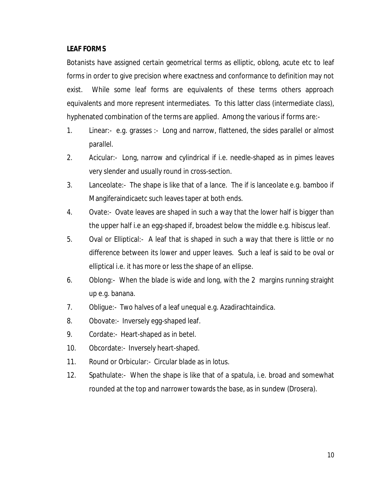#### **LEAF FORMS**

Botanists have assigned certain geometrical terms as elliptic, oblong, acute etc to leaf forms in order to give precision where exactness and conformance to definition may not exist. While some leaf forms are equivalents of these terms others approach equivalents and more represent intermediates. To this latter class (intermediate class), hyphenated combination of the terms are applied. Among the various if forms are:-

- 1. Linear:- e.g. grasses :- Long and narrow, flattened, the sides parallel or almost parallel.
- 2. Acicular:- Long, narrow and cylindrical if i.e. needle-shaped as in pimes leaves very slender and usually round in cross-section.
- 3. Lanceolate:- The shape is like that of a lance. The if is lanceolate e.g. bamboo if Mangiferaindicaetc such leaves taper at both ends.
- 4. Ovate:- Ovate leaves are shaped in such a way that the lower half is bigger than the upper half i.e an egg-shaped if, broadest below the middle e.g. hibiscus leaf.
- 5. Oval or Elliptical:- A leaf that is shaped in such a way that there is little or no difference between its lower and upper leaves. Such a leaf is said to be oval or elliptical i.e. it has more or less the shape of an ellipse.
- 6. Oblong:- When the blade is wide and long, with the 2 margins running straight up e.g. banana.
- 7. Obligue:- Two halves of a leaf unequal e.g. Azadirachtaindica.
- 8. Obovate:- Inversely egg-shaped leaf.
- 9. Cordate:- Heart-shaped as in betel.
- 10. Obcordate:- Inversely heart-shaped.
- 11. Round or Orbicular:- Circular blade as in lotus.
- 12. Spathulate:- When the shape is like that of a spatula, i.e. broad and somewhat rounded at the top and narrower towards the base, as in sundew (Drosera).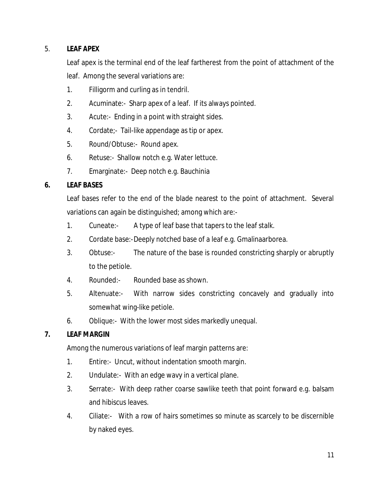# 5. **LEAF APEX**

Leaf apex is the terminal end of the leaf fartherest from the point of attachment of the leaf. Among the several variations are:

- 1. Filligorm and curling as in tendril.
- 2. Acuminate:- Sharp apex of a leaf. If its always pointed.
- 3. Acute:- Ending in a point with straight sides.
- 4. Cordate;- Tail-like appendage as tip or apex.
- 5. Round/Obtuse:- Round apex.
- 6. Retuse:- Shallow notch e.g. Water lettuce.
- 7. Emarginate:- Deep notch e.g. Bauchinia

# **6. LEAF BASES**

Leaf bases refer to the end of the blade nearest to the point of attachment. Several variations can again be distinguished; among which are:-

- 1. Cuneate:- A type of leaf base that tapers to the leaf stalk.
- 2. Cordate base:-Deeply notched base of a leaf e.g. Gmalinaarborea.
- 3. Obtuse:- The nature of the base is rounded constricting sharply or abruptly to the petiole.
- 4. Rounded:- Rounded base as shown.
- 5. Altenuate:- With narrow sides constricting concavely and gradually into somewhat wing-like petiole.
- 6. Oblique:- With the lower most sides markedly unequal.

# **7. LEAF MARGIN**

Among the numerous variations of leaf margin patterns are:

- 1. Entire:- Uncut, without indentation smooth margin.
- 2. Undulate:- With an edge wavy in a vertical plane.
- 3. Serrate:- With deep rather coarse sawlike teeth that point forward e.g. balsam and hibiscus leaves.
- 4. Ciliate:- With a row of hairs sometimes so minute as scarcely to be discernible by naked eyes.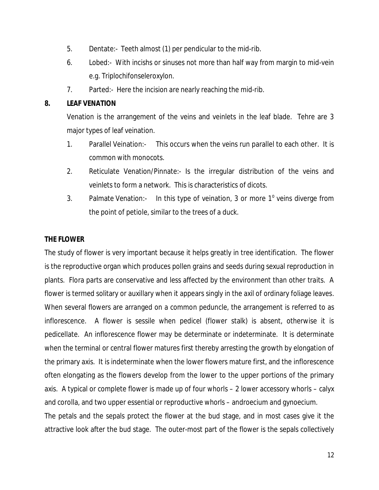- 5. Dentate:- Teeth almost (1) per pendicular to the mid-rib.
- 6. Lobed:- With incishs or sinuses not more than half way from margin to mid-vein e.g. Triplochifonseleroxylon.
- 7. Parted:- Here the incision are nearly reaching the mid-rib.

# **8. LEAF VENATION**

Venation is the arrangement of the veins and veinlets in the leaf blade. Tehre are 3 major types of leaf veination.

- 1. Parallel Veination:- This occurs when the veins run parallel to each other. It is common with monocots.
- 2. Reticulate Venation/Pinnate:- Is the irregular distribution of the veins and veinlets to form a network. This is characteristics of dicots.
- 3. Palmate Venation:- In this type of veination, 3 or more  $1^{\circ}$  veins diverge from the point of petiole, similar to the trees of a duck.

# **THE FLOWER**

The study of flower is very important because it helps greatly in tree identification. The flower is the reproductive organ which produces pollen grains and seeds during sexual reproduction in plants. Flora parts are conservative and less affected by the environment than other traits. A flower is termed solitary or auxillary when it appears singly in the axil of ordinary foliage leaves. When several flowers are arranged on a common peduncle, the arrangement is referred to as inflorescence. A flower is sessile when pedicel (flower stalk) is absent, otherwise it is pedicellate. An inflorescence flower may be determinate or indeterminate. It is determinate when the terminal or central flower matures first thereby arresting the growth by elongation of the primary axis. It is indeterminate when the lower flowers mature first, and the inflorescence often elongating as the flowers develop from the lower to the upper portions of the primary axis. A typical or complete flower is made up of four whorls – 2 lower accessory whorls – calyx and corolla, and two upper essential or reproductive whorls – androecium and gynoecium.

The petals and the sepals protect the flower at the bud stage, and in most cases give it the attractive look after the bud stage. The outer-most part of the flower is the sepals collectively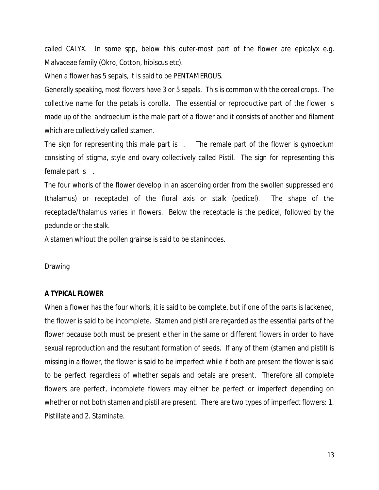called CALYX. In some spp, below this outer-most part of the flower are epicalyx e.g. Malvaceae family (Okro, Cotton, hibiscus etc).

When a flower has 5 sepals, it is said to be PENTAMEROUS.

Generally speaking, most flowers have 3 or 5 sepals. This is common with the cereal crops. The collective name for the petals is corolla. The essential or reproductive part of the flower is made up of the androecium is the male part of a flower and it consists of another and filament which are collectively called stamen.

The sign for representing this male part is . The remale part of the flower is gynoecium consisting of stigma, style and ovary collectively called Pistil. The sign for representing this female part is .

The four whorls of the flower develop in an ascending order from the swollen suppressed end (thalamus) or receptacle) of the floral axis or stalk (pedicel). The shape of the receptacle/thalamus varies in flowers. Below the receptacle is the pedicel, followed by the peduncle or the stalk.

A stamen whiout the pollen grainse is said to be staninodes.

Drawing

#### **A TYPICAL FLOWER**

When a flower has the four whorls, it is said to be complete, but if one of the parts is lackened, the flower is said to be incomplete. Stamen and pistil are regarded as the essential parts of the flower because both must be present either in the same or different flowers in order to have sexual reproduction and the resultant formation of seeds. If any of them (stamen and pistil) is missing in a flower, the flower is said to be imperfect while if both are present the flower is said to be perfect regardless of whether sepals and petals are present. Therefore all complete flowers are perfect, incomplete flowers may either be perfect or imperfect depending on whether or not both stamen and pistil are present. There are two types of imperfect flowers: 1. Pistillate and 2. Staminate.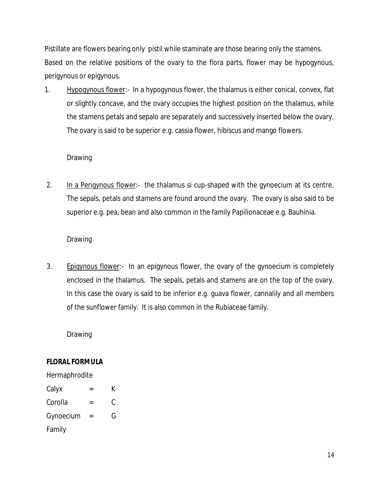Pistillate are flowers bearing only pistil while staminate are those bearing only the stamens. Based on the relative positions of the ovary to the flora parts, flower may be hypogynous, perigynous or epigynous.

1. Hypogynous flower:- In a hypogynous flower, the thalamus is either conical, convex, flat or slightly concave, and the ovary occupies the highest position on the thalamus, while the stamens petals and sepalo are separately and successively inserted below the ovary. The ovary is said to be superior e.g. cassia flower, hibiscus and mango flowers.

# Drawing

2. In a Perigynous flower:- the thalamus si cup-shaped with the gynoecium at its centre. The sepals, petals and stamens are found around the ovary. The ovary is also said to be superior e.g. pea, bean and also common in the family Papilionaceae e.g. Bauhinia.

# Drawing

3. Epigynous flower:- In an epigynous flower, the ovary of the gynoecium is completely enclosed in the thalamus. The sepals, petals and stamens are on the top of the ovary. In this case the ovary is said to be inferior e.g. guava flower, cannalily and all members of the sunflower family. It is also common in the Rubiaceae family.

Drawing

# **FLORAL FORMULA**

# **Hermaphrodite** Calyx  $=$  K Corolla = C Gynoecium = G Family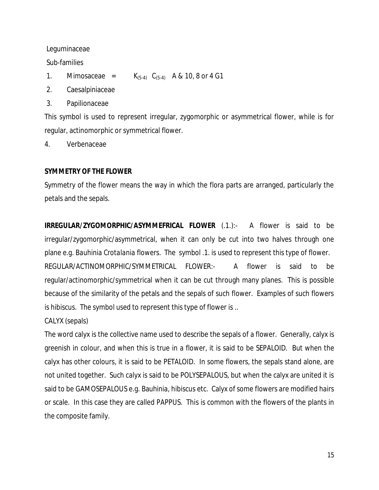Leguminaceae

Sub-families

- 1. Mimosaceae =  $K_{(5-4)}$   $C_{(5-4)}$  A & 10, 8 or 4 G1
- 2. Caesalpiniaceae
- 3. Papilionaceae

This symbol is used to represent irregular, zygomorphic or asymmetrical flower, while is for regular, actinomorphic or symmetrical flower.

4. Verbenaceae

# **SYMMETRY OF THE FLOWER**

Symmetry of the flower means the way in which the flora parts are arranged, particularly the petals and the sepals.

**IRREGULAR/ZYGOMORPHIC/ASYMMEFRICAL FLOWER** (.1.):- A flower is said to be irregular/zygomorphic/asymmetrical, when it can only be cut into two halves through one plane e.g. *Bauhinia Crotalania* flowers. The symbol .1. is used to represent this type of flower. REGULAR/ACTINOMORPHIC/SYMMETRICAL FLOWER:- A flower is said to be regular/actinomorphic/symmetrical when it can be cut through many planes. This is possible because of the similarity of the petals and the sepals of such flower. Examples of such flowers is hibiscus. The symbol used to represent this type of flower is ..

CALYX (sepals)

The word calyx is the collective name used to describe the sepals of a flower. Generally, calyx is greenish in colour, and when this is true in a flower, it is said to be SEPALOID. But when the calyx has other colours, it is said to be PETALOID. In some flowers, the sepals stand alone, are not united together. Such calyx is said to be POLYSEPALOUS, but when the calyx are united it is said to be GAMOSEPALOUS e.g. Bauhinia, hibiscus etc. Calyx of some flowers are modified hairs or scale. In this case they are called PAPPUS. This is common with the flowers of the plants in the composite family.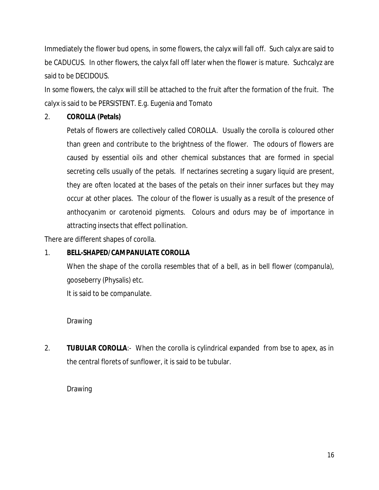Immediately the flower bud opens, in some flowers, the calyx will fall off. Such calyx are said to be CADUCUS. In other flowers, the calyx fall off later when the flower is mature. Suchcalyz are said to be DECIDOUS.

In some flowers, the calyx will still be attached to the fruit after the formation of the fruit. The calyx is said to be PERSISTENT. E.g. Eugenia and Tomato

# 2. **COROLLA (Petals)**

Petals of flowers are collectively called COROLLA. Usually the corolla is coloured other than green and contribute to the brightness of the flower. The odours of flowers are caused by essential oils and other chemical substances that are formed in special secreting cells usually of the petals. If nectarines secreting a sugary liquid are present, they are often located at the bases of the petals on their inner surfaces but they may occur at other places. The colour of the flower is usually as a result of the presence of anthocyanim or carotenoid pigments. Colours and odurs may be of importance in attracting insects that effect pollination.

There are different shapes of corolla.

# 1. **BELL-SHAPED/CAMPANULATE COROLLA**

When the shape of the corolla resembles that of a bell, as in bell flower (companula), gooseberry (Physalis) etc.

It is said to be companulate.

# Drawing

2. **TUBULAR COROLLA**:- When the corolla is cylindrical expanded from bse to apex, as in the central florets of sunflower, it is said to be tubular.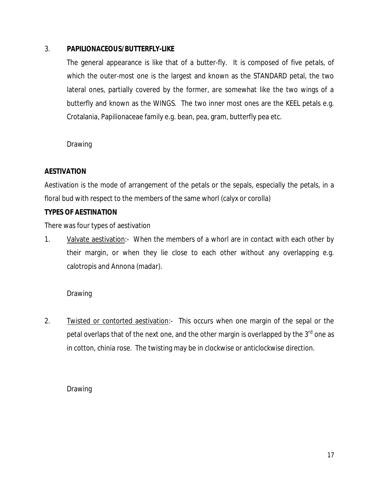# 3. **PAPILIONACEOUS/BUTTERFLY-LIKE**

The general appearance is like that of a butter-fly. It is composed of five petals, of which the outer-most one is the largest and known as the STANDARD petal, the two lateral ones, partially covered by the former, are somewhat like the two wings of a butterfly and known as the WINGS. The two inner most ones are the KEEL petals e.g. Crotalania, Papilionaceae family e.g. bean, pea, gram, butterfly pea etc.

Drawing

# **AESTIVATION**

Aestivation is the mode of arrangement of the petals or the sepals, especially the petals, in a floral bud with respect to the members of the same whorl (calyx or corolla)

# **TYPES OF AESTINATION**

There was four types of aestivation

1. Valvate aestivation:- When the members of a whorl are in contact with each other by their margin, or when they lie close to each other without any overlapping e.g. calotropis and Annona (madar).

Drawing

2. Twisted or contorted aestivation:- This occurs when one margin of the sepal or the petal overlaps that of the next one, and the other margin is overlapped by the  $3<sup>rd</sup>$  one as in cotton, chinia rose. The twisting may be in clockwise or anticlockwise direction.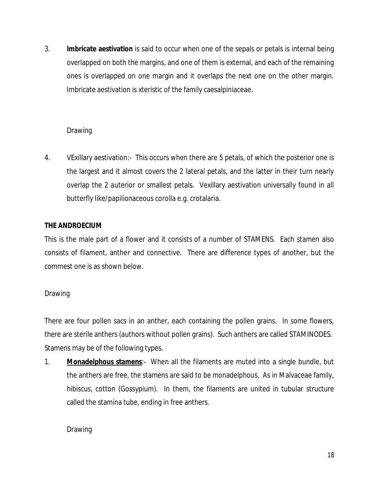3. **Imbricate aestivation** is said to occur when one of the sepals or petals is internal being overlapped on both the margins, and one of them is external, and each of the remaining ones is overlapped on one margin and it overlaps the next one on the other margin. Imbricate aestivation is xteristic of the family caesalpiniaceae.

# Drawing

4. VExillary aestivation:- This occurs when there are 5 petals, of which the posterior one is the largest and it almost covers the 2 lateral petals, and the latter in their turn nearly overlap the 2 auterior or smallest petals. Vexillary aestivation universally found in all butterfly like/papilionaceous corolla e.g. crotalaria.

# **THE ANDROECIUM**

This is the male part of a flower and it consists of a number of STAMENS. Each stamen also consists of filament, anther and connective. There are difference types of another, but the commest one is as shown below.

# Drawing

There are four pollen sacs in an anther, each containing the pollen grains. In some flowers, there are sterile anthers (authors without pollen grains). Such anthers are called STAMINODES. Stamens may be of the following types.

1. **Monadelphous stamens**:- When all the filaments are muted into a single bundle, but the anthers are free, the stamens are said to be monadelphous, As in Malvaceae family, hibiscus, cotton (Gossypium). In them, the filaments are united in tubular structure called the stamina tube, ending in free anthers.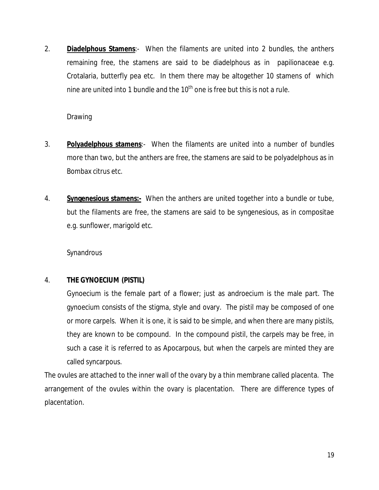2. **Diadelphous Stamens**:- When the filaments are united into 2 bundles, the anthers remaining free, the stamens are said to be diadelphous as in papilionaceae e.g. Crotalaria, butterfly pea etc. In them there may be altogether 10 stamens of which nine are united into 1 bundle and the  $10<sup>th</sup>$  one is free but this is not a rule.

Drawing

- 3. **Polyadelphous stamens**:- When the filaments are united into a number of bundles more than two, but the anthers are free, the stamens are said to be polyadelphous as in Bombax citrus etc.
- 4. **Syngenesious stamens:-** When the anthers are united together into a bundle or tube, but the filaments are free, the stamens are said to be syngenesious, as in compositae e.g. sunflower, marigold etc.

**Synandrous** 

# 4. **THE GYNOECIUM (PISTIL)**

Gynoecium is the female part of a flower; just as androecium is the male part. The gynoecium consists of the stigma, style and ovary. The pistil may be composed of one or more carpels. When it is one, it is said to be simple, and when there are many pistils, they are known to be compound. In the compound pistil, the carpels may be free, in such a case it is referred to as Apocarpous, but when the carpels are minted they are called syncarpous.

The ovules are attached to the inner wall of the ovary by a thin membrane called placenta. The arrangement of the ovules within the ovary is placentation. There are difference types of placentation.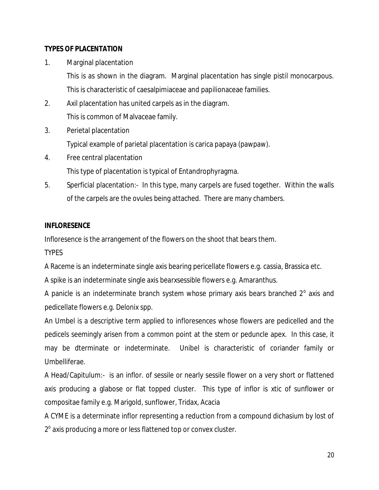# **TYPES OF PLACENTATION**

1. Marginal placentation

This is as shown in the diagram. Marginal placentation has single pistil monocarpous. This is characteristic of caesalpimiaceae and papilionaceae families.

- 2. Axil placentation has united carpels as in the diagram. This is common of Malvaceae family.
- 3. Perietal placentation

Typical example of parietal placentation is carica papaya (pawpaw).

4. Free central placentation

This type of placentation is typical of Entandrophyragma.

5. Sperficial placentation:- In this type, many carpels are fused together. Within the walls of the carpels are the ovules being attached. There are many chambers.

# **INFLORESENCE**

Infloresence is the arrangement of the flowers on the shoot that bears them.

**TYPES** 

A Raceme is an indeterminate single axis bearing pericellate flowers e.g. cassia, Brassica etc.

A spike is an indeterminate single axis bearxsessible flowers e.g. Amaranthus.

A panicle is an indeterminate branch system whose primary axis bears branched  $2^{\circ}$  axis and pedicellate flowers e.g. Delonix spp.

An Umbel is a descriptive term applied to infloresences whose flowers are pedicelled and the pedicels seemingly arisen from a common point at the stem or peduncle apex. In this case, it may be dterminate or indeterminate. Unibel is characteristic of coriander family or Umbelliferae.

A Head/Capitulum:- is an inflor. of sessile or nearly sessile flower on a very short or flattened axis producing a glabose or flat topped cluster. This type of inflor is xtic of sunflower or compositae family e.g. Marigold, sunflower, Tridax, Acacia

A CYME is a determinate inflor representing a reduction from a compound dichasium by lost of 2<sup>°</sup> axis producing a more or less flattened top or convex cluster.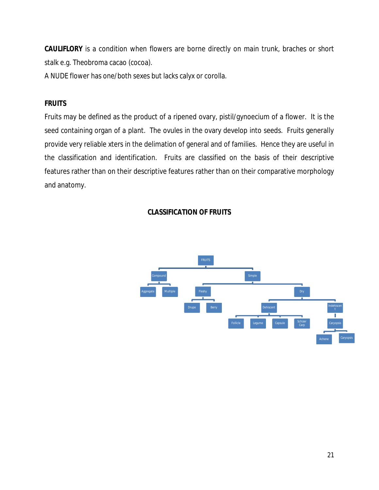**CAULIFLORY** is a condition when flowers are borne directly on main trunk, braches or short stalk e.g. Theobroma cacao (cocoa).

A NUDE flower has one/both sexes but lacks calyx or corolla.

# **FRUITS**

Fruits may be defined as the product of a ripened ovary, pistil/gynoecium of a flower. It is the seed containing organ of a plant. The ovules in the ovary develop into seeds. Fruits generally provide very reliable xters in the delimation of general and of families. Hence they are useful in the classification and identification. Fruits are classified on the basis of their descriptive features rather than on their descriptive features rather than on their comparative morphology and anatomy.

# **CLASSIFICATION OF FRUITS**

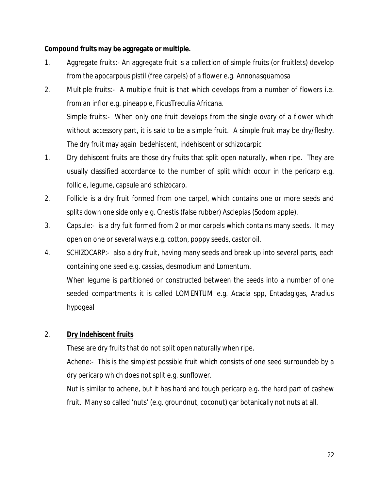# **Compound fruits may be aggregate or multiple.**

- 1. Aggregate fruits:- An aggregate fruit is a collection of simple fruits (or fruitlets) develop from the apocarpous pistil (free carpels) of a flower e.g. *Annonasquamosa*
- 2. Multiple fruits:- A multiple fruit is that which develops from a number of flowers i.e. from an inflor e.g. pineapple, FicusTreculia Africana. Simple fruits:- When only one fruit develops from the single ovary of a flower which without accessory part, it is said to be a simple fruit. A simple fruit may be dry/fleshy. The dry fruit may again bedehiscent, indehiscent or schizocarpic
- 1. Dry dehiscent fruits are those dry fruits that split open naturally, when ripe. They are usually classified accordance to the number of split which occur in the pericarp e.g. follicle, legume, capsule and schizocarp.
- 2. Follicle is a dry fruit formed from one carpel, which contains one or more seeds and splits down one side only e.g. Cnestis (false rubber) Asclepias (Sodom apple).
- 3. Capsule:- is a dry fuit formed from 2 or mor carpels which contains many seeds. It may open on one or several ways e.g. cotton, poppy seeds, castor oil.
- 4. SCHIZOCARP:- also a dry fruit, having many seeds and break up into several parts, each containing one seed e.g. cassias, desmodium and Lomentum. When legume is partitioned or constructed between the seeds into a number of one seeded compartments it is called LOMENTUM e.g. Acacia spp, Entadagigas, Aradius hypogeal

# 2. **Dry Indehiscent fruits**

These are dry fruits that do not split open naturally when ripe.

Achene:- This is the simplest possible fruit which consists of one seed surroundeb by a dry pericarp which does not split e.g. sunflower.

Nut is similar to achene, but it has hard and tough pericarp e.g. the hard part of cashew fruit. Many so called 'nuts' (e.g. groundnut, coconut) gar botanically not nuts at all.